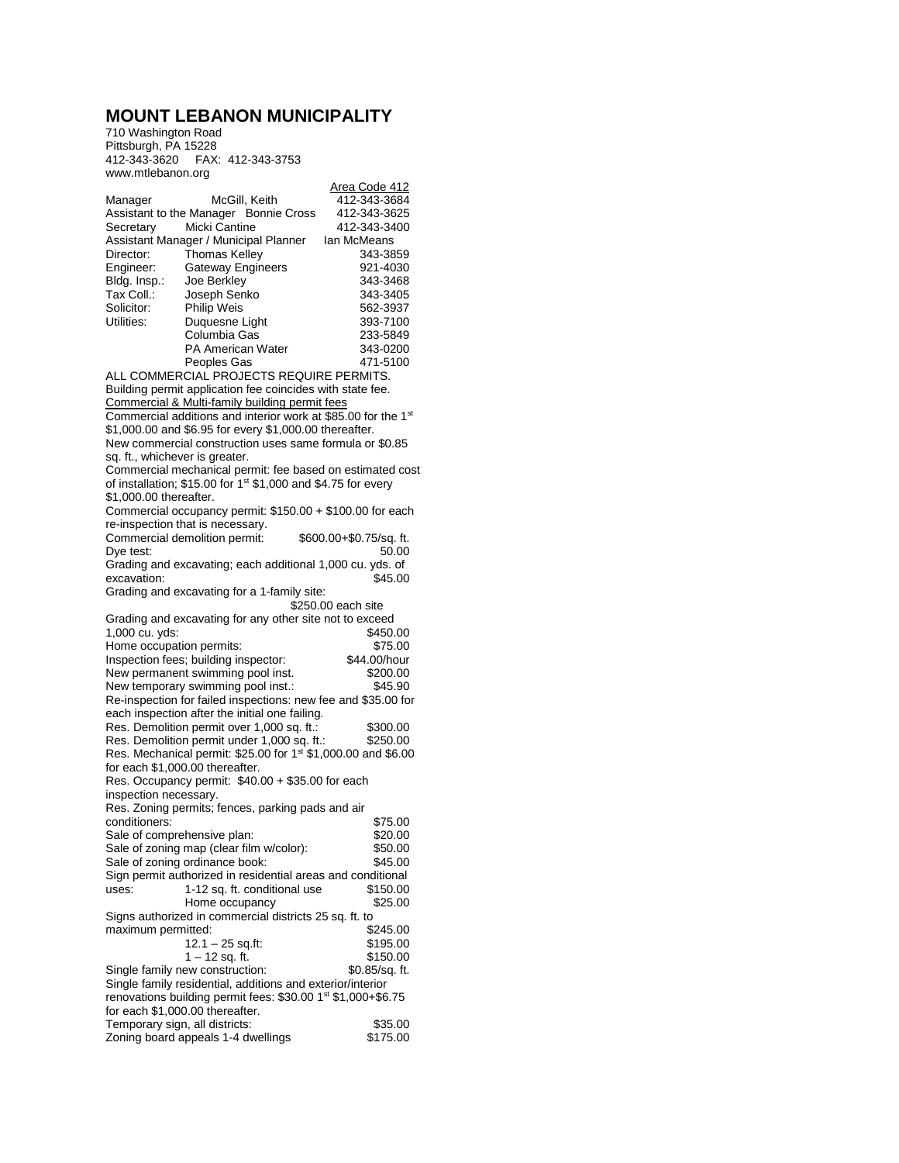## **MOUNT LEBANON MUNICIPALITY**

710 Washington Road Pittsburgh, PA 15228 412-343-3620 FAX: 412-343-3753 www.mtlebanon.org

|                                 |                                                                                                                 | Area Code 412           |
|---------------------------------|-----------------------------------------------------------------------------------------------------------------|-------------------------|
| Manager                         | McGill, Keith                                                                                                   | 412-343-3684            |
|                                 | Assistant to the Manager Bonnie Cross                                                                           | 412-343-3625            |
| Secretary                       | Micki Cantine                                                                                                   | 412-343-3400            |
|                                 | Assistant Manager / Municipal Planner                                                                           | Ian McMeans             |
| Director:                       | <b>Thomas Kelley</b>                                                                                            | 343-3859                |
| Engineer:                       | <b>Gateway Engineers</b>                                                                                        | 921-4030                |
| Bldg. Insp.:                    | Joe Berkley                                                                                                     | 343-3468                |
| Tax Coll.:                      | Joseph Senko                                                                                                    | 343-3405                |
| Solicitor:                      | Philip Weis                                                                                                     | 562-3937                |
| Utilities:                      | Duquesne Light                                                                                                  | 393-7100                |
|                                 | Columbia Gas                                                                                                    | 233-5849                |
|                                 | PA American Water                                                                                               | 343-0200                |
|                                 | Peoples Gas<br>ALL COMMERCIAL PROJECTS REQUIRE PERMITS.                                                         | 471-5100                |
|                                 |                                                                                                                 |                         |
|                                 | Building permit application fee coincides with state fee.                                                       |                         |
|                                 | Commercial & Multi-family building permit fees<br>Commercial additions and interior work at \$85.00 for the 1st |                         |
|                                 | \$1,000.00 and \$6.95 for every \$1,000.00 thereafter.                                                          |                         |
|                                 | New commercial construction uses same formula or \$0.85                                                         |                         |
| sq. ft., whichever is greater.  |                                                                                                                 |                         |
|                                 | Commercial mechanical permit: fee based on estimated cost                                                       |                         |
|                                 | of installation; \$15.00 for 1 <sup>st</sup> \$1,000 and \$4.75 for every                                       |                         |
| \$1,000.00 thereafter.          |                                                                                                                 |                         |
|                                 | Commercial occupancy permit: \$150.00 + \$100.00 for each                                                       |                         |
|                                 | re-inspection that is necessary.                                                                                |                         |
|                                 | Commercial demolition permit:                                                                                   | \$600.00+\$0.75/sq. ft. |
| Dye test:                       |                                                                                                                 | 50.00                   |
|                                 | Grading and excavating; each additional 1,000 cu. yds. of                                                       |                         |
| excavation:                     |                                                                                                                 | \$45.00                 |
|                                 | Grading and excavating for a 1-family site:                                                                     |                         |
|                                 |                                                                                                                 | \$250.00 each site      |
|                                 |                                                                                                                 |                         |
|                                 | Grading and excavating for any other site not to exceed                                                         |                         |
| 1,000 cu. yds:                  |                                                                                                                 | \$450.00                |
| Home occupation permits:        |                                                                                                                 | \$75.00                 |
|                                 | Inspection fees; building inspector:                                                                            | \$44.00/hour            |
|                                 | New permanent swimming pool inst.                                                                               | \$200.00                |
|                                 | New temporary swimming pool inst.:                                                                              | \$45.90                 |
|                                 | Re-inspection for failed inspections: new fee and \$35.00 for                                                   |                         |
|                                 | each inspection after the initial one failing.                                                                  |                         |
|                                 | Res. Demolition permit over 1,000 sq. ft.:                                                                      | \$300.00                |
|                                 | Res. Demolition permit under 1,000 sq. ft.:                                                                     | \$250.00                |
|                                 | Res. Mechanical permit: \$25.00 for 1 <sup>st</sup> \$1,000.00 and \$6.00                                       |                         |
| for each \$1,000.00 thereafter. |                                                                                                                 |                         |
|                                 | Res. Occupancy permit: \$40.00 + \$35.00 for each                                                               |                         |
| inspection necessary.           |                                                                                                                 |                         |
| conditioners:                   | Res. Zoning permits; fences, parking pads and air                                                               | \$75.00                 |
|                                 |                                                                                                                 |                         |
| Sale of comprehensive plan:     | Sale of zoning map (clear film w/color):                                                                        | \$20.00<br>\$50.00      |
|                                 | Sale of zoning ordinance book:                                                                                  | \$45.00                 |
|                                 | Sign permit authorized in residential areas and conditional                                                     |                         |
| uses:                           | 1-12 sq. ft. conditional use                                                                                    | \$150.00                |
|                                 | Home occupancy                                                                                                  | \$25.00                 |
|                                 | Signs authorized in commercial districts 25 sq. ft. to                                                          |                         |
| maximum permitted:              |                                                                                                                 | \$245.00                |
|                                 | $12.1 - 25$ sq.ft:                                                                                              | \$195.00                |
|                                 | 1 – 12 sq. ft.                                                                                                  | \$150.00                |
|                                 | Single family new construction:                                                                                 | \$0.85/sq. ft.          |
|                                 | Single family residential, additions and exterior/interior                                                      |                         |
|                                 | renovations building permit fees: \$30.00 1 <sup>st</sup> \$1,000+\$6.75                                        |                         |
|                                 | for each \$1,000.00 thereafter.                                                                                 |                         |
| Temporary sign, all districts:  | Zoning board appeals 1-4 dwellings                                                                              | \$35.00<br>\$175.00     |